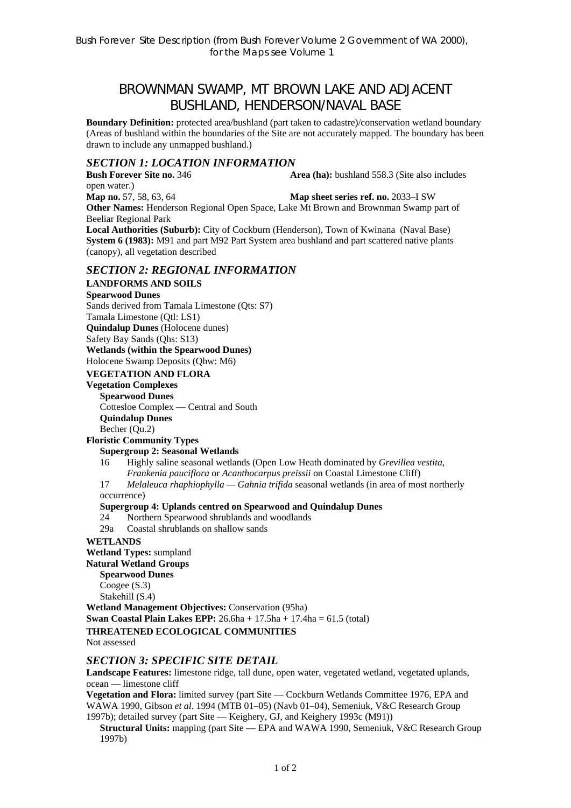# BROWNMAN SWAMP, MT BROWN LAKE AND ADJACENT BUSHLAND, HENDERSON/NAVAL BASE

**Boundary Definition:** protected area/bushland (part taken to cadastre)/conservation wetland boundary (Areas of bushland within the boundaries of the Site are not accurately mapped. The boundary has been drawn to include any unmapped bushland.)

# *SECTION 1: LOCATION INFORMATION*

**Bush Forever Site no. 346 Area (ha):** bushland 558.3 (Site also includes open water.)

**Map no.** 57, 58, 63, 64 **Map sheet series ref. no.** 2033–I SW **Other Names:** Henderson Regional Open Space, Lake Mt Brown and Brownman Swamp part of Beeliar Regional Park

**Local Authorities (Suburb):** City of Cockburn (Henderson), Town of Kwinana (Naval Base) **System 6 (1983):** M91 and part M92 Part System area bushland and part scattered native plants (canopy), all vegetation described

### *SECTION 2: REGIONAL INFORMATION*

### **LANDFORMS AND SOILS**

### **Spearwood Dunes**

Sands derived from Tamala Limestone (Qts: S7)

#### Tamala Limestone (Qtl: LS1)

**Quindalup Dunes** (Holocene dunes)

Safety Bay Sands (Qhs: S13)

#### **Wetlands (within the Spearwood Dunes)**

Holocene Swamp Deposits (Qhw: M6)

#### **VEGETATION AND FLORA**

**Vegetation Complexes Spearwood Dunes** 

Cottesloe Complex — Central and South

**Quindalup Dunes** 

Becher (Qu.2)

# **Floristic Community Types**

### **Supergroup 2: Seasonal Wetlands**

16 Highly saline seasonal wetlands (Open Low Heath dominated by *Grevillea vestita*,

*Frankenia pauciflora* or *Acanthocarpus preissii* on Coastal Limestone Cliff)

17 *Melaleuca rhaphiophylla — Gahnia trifida* seasonal wetlands (in area of most northerly occurrence)

### **Supergroup 4: Uplands centred on Spearwood and Quindalup Dunes**

- 24 Northern Spearwood shrublands and woodlands
- 29a Coastal shrublands on shallow sands

### **WETLANDS**

**Wetland Types:** sumpland

**Natural Wetland Groups** 

**Spearwood Dunes** 

Coogee (S.3)

Stakehill (S.4)

**Wetland Management Objectives:** Conservation (95ha)

**Swan Coastal Plain Lakes EPP:** 26.6ha + 17.5ha + 17.4ha = 61.5 (total)

### **THREATENED ECOLOGICAL COMMUNITIES**

Not assessed

### *SECTION 3: SPECIFIC SITE DETAIL*

**Landscape Features:** limestone ridge, tall dune, open water, vegetated wetland, vegetated uplands, ocean — limestone cliff

**Vegetation and Flora:** limited survey (part Site — Cockburn Wetlands Committee 1976, EPA and WAWA 1990, Gibson *et al*. 1994 (MTB 01–05) (Navb 01–04), Semeniuk, V&C Research Group 1997b); detailed survey (part Site — Keighery, GJ, and Keighery 1993c (M91))

**Structural Units:** mapping (part Site — EPA and WAWA 1990, Semeniuk, V&C Research Group 1997b)